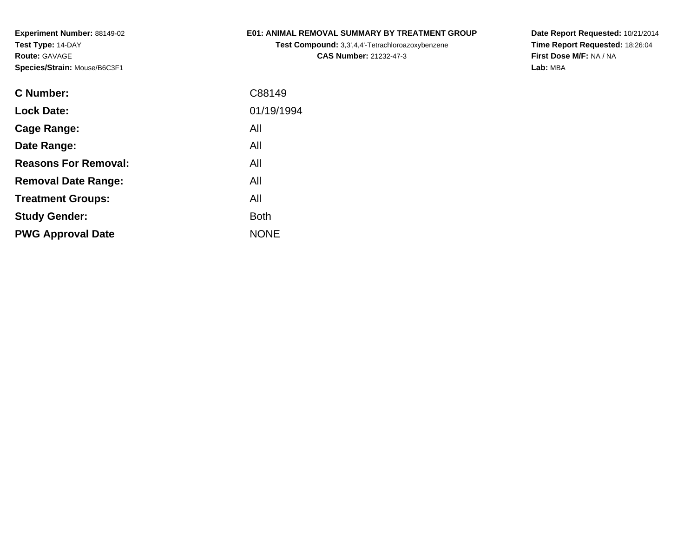## **E01: ANIMAL REMOVAL SUMMARY BY TREATMENT GROUP**

**Test Compound:** 3,3',4,4'-Tetrachloroazoxybenzene**CAS Number:** 21232-47-3

**Date Report Requested:** 10/21/2014 **Time Report Requested:** 18:26:04**First Dose M/F:** NA / NA**Lab:** MBA

| <b>C</b> Number:            | C88149      |
|-----------------------------|-------------|
| <b>Lock Date:</b>           | 01/19/1994  |
| Cage Range:                 | All         |
| Date Range:                 | All         |
| <b>Reasons For Removal:</b> | All         |
| <b>Removal Date Range:</b>  | All         |
| <b>Treatment Groups:</b>    | All         |
| <b>Study Gender:</b>        | <b>Both</b> |
| <b>PWG Approval Date</b>    | <b>NONE</b> |
|                             |             |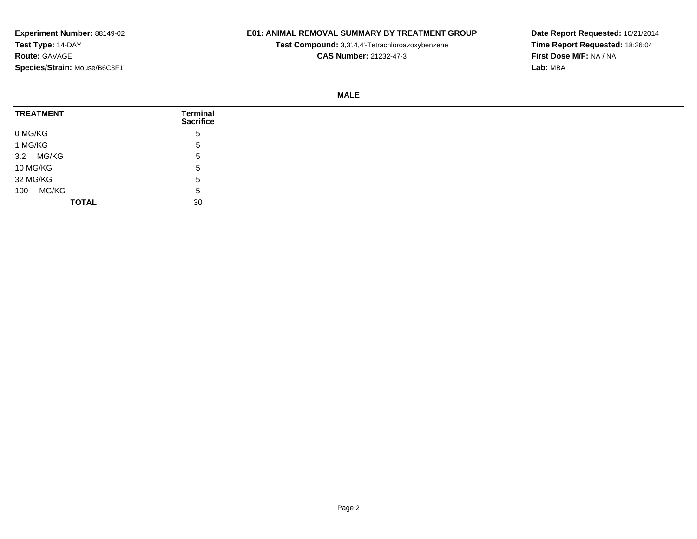## **E01: ANIMAL REMOVAL SUMMARY BY TREATMENT GROUP**

**Test Compound:** 3,3',4,4'-Tetrachloroazoxybenzene

**CAS Number:** 21232-47-3

**Date Report Requested:** 10/21/2014**Time Report Requested:** 18:26:04**First Dose M/F:** NA / NA**Lab:** MBA

#### **MALE**

| <b>TREATMENT</b> | <b>Terminal</b><br><b>Sacrifice</b> |
|------------------|-------------------------------------|
| 0 MG/KG          | $5^{\circ}$                         |
| 1 MG/KG          | <sub>5</sub>                        |
| 3.2 MG/KG        | . ხ                                 |
| 10 MG/KG         | 5                                   |
| 32 MG/KG         | . ხ                                 |
| MG/KG<br>100     | . ხ                                 |
| <b>TOTAL</b>     | 30                                  |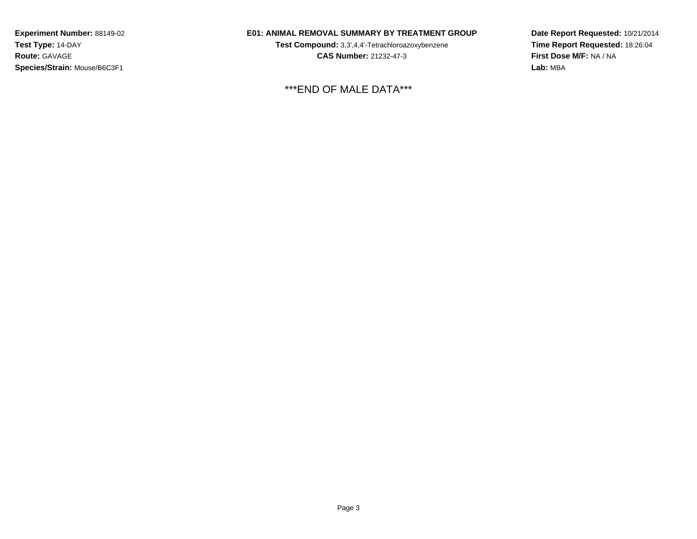### **E01: ANIMAL REMOVAL SUMMARY BY TREATMENT GROUP**

**Test Compound:** 3,3',4,4'-Tetrachloroazoxybenzene**CAS Number:** 21232-47-3

\*\*\*END OF MALE DATA\*\*\*

**Date Report Requested:** 10/21/2014**Time Report Requested:** 18:26:04**First Dose M/F:** NA / NA**Lab:** MBA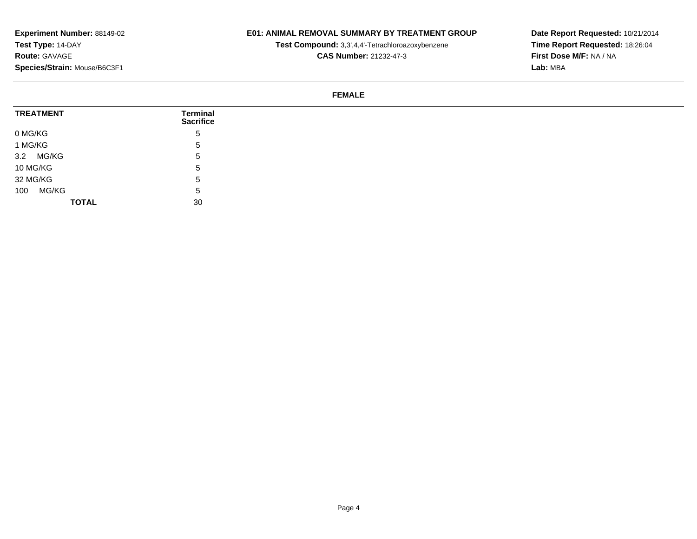## **E01: ANIMAL REMOVAL SUMMARY BY TREATMENT GROUP**

**Test Compound:** 3,3',4,4'-Tetrachloroazoxybenzene

**CAS Number:** 21232-47-3

**Date Report Requested:** 10/21/2014**Time Report Requested:** 18:26:04**First Dose M/F:** NA / NA**Lab:** MBA

#### **FEMALE**

| <b>TREATMENT</b> | Terminal<br><b>Sacrifice</b> |
|------------------|------------------------------|
| 0 MG/KG          | 5                            |
| 1 MG/KG          | 5                            |
| 3.2 MG/KG        | 5                            |
| 10 MG/KG         | 5                            |
| 32 MG/KG         | 5                            |
| MG/KG<br>100     | 5                            |
| <b>TOTAL</b>     | 30                           |